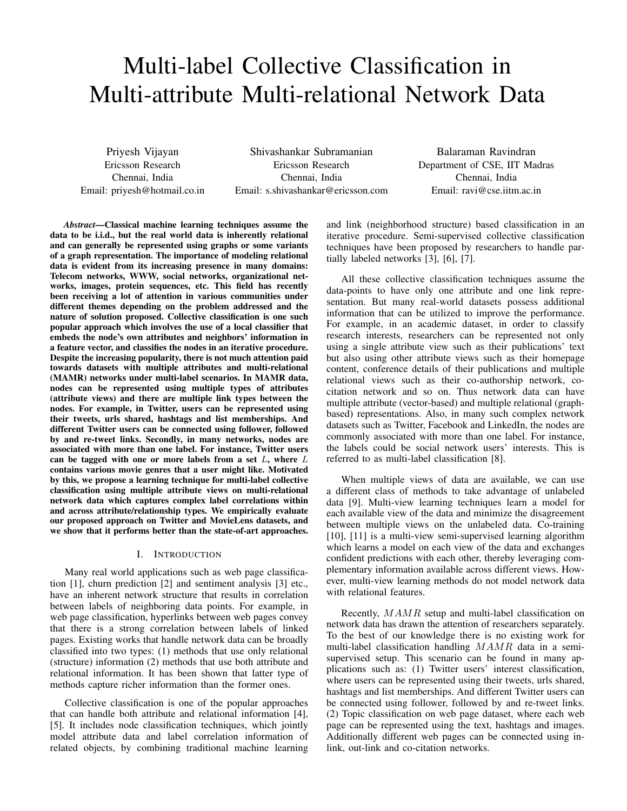# Multi-label Collective Classification in Multi-attribute Multi-relational Network Data

Priyesh Vijayan Ericsson Research Chennai, India Email: priyesh@hotmail.co.in

Shivashankar Subramanian Ericsson Research Chennai, India Email: s.shivashankar@ericsson.com

Balaraman Ravindran Department of CSE, IIT Madras Chennai, India Email: ravi@cse.iitm.ac.in

*Abstract*—Classical machine learning techniques assume the data to be i.i.d., but the real world data is inherently relational and can generally be represented using graphs or some variants of a graph representation. The importance of modeling relational data is evident from its increasing presence in many domains: Telecom networks, WWW, social networks, organizational networks, images, protein sequences, etc. This field has recently been receiving a lot of attention in various communities under different themes depending on the problem addressed and the nature of solution proposed. Collective classification is one such popular approach which involves the use of a local classifier that embeds the node's own attributes and neighbors' information in a feature vector, and classifies the nodes in an iterative procedure. Despite the increasing popularity, there is not much attention paid towards datasets with multiple attributes and multi-relational (MAMR) networks under multi-label scenarios. In MAMR data, nodes can be represented using multiple types of attributes (attribute views) and there are multiple link types between the nodes. For example, in Twitter, users can be represented using their tweets, urls shared, hashtags and list memberships. And different Twitter users can be connected using follower, followed by and re-tweet links. Secondly, in many networks, nodes are associated with more than one label. For instance, Twitter users can be tagged with one or more labels from a set  $L$ , where  $L$ contains various movie genres that a user might like. Motivated by this, we propose a learning technique for multi-label collective classification using multiple attribute views on multi-relational network data which captures complex label correlations within and across attribute/relationship types. We empirically evaluate our proposed approach on Twitter and MovieLens datasets, and we show that it performs better than the state-of-art approaches.

#### I. INTRODUCTION

Many real world applications such as web page classification [1], churn prediction [2] and sentiment analysis [3] etc., have an inherent network structure that results in correlation between labels of neighboring data points. For example, in web page classification, hyperlinks between web pages convey that there is a strong correlation between labels of linked pages. Existing works that handle network data can be broadly classified into two types: (1) methods that use only relational (structure) information (2) methods that use both attribute and relational information. It has been shown that latter type of methods capture richer information than the former ones.

Collective classification is one of the popular approaches that can handle both attribute and relational information [4], [5]. It includes node classification techniques, which jointly model attribute data and label correlation information of related objects, by combining traditional machine learning and link (neighborhood structure) based classification in an iterative procedure. Semi-supervised collective classification techniques have been proposed by researchers to handle partially labeled networks [3], [6], [7].

All these collective classification techniques assume the data-points to have only one attribute and one link representation. But many real-world datasets possess additional information that can be utilized to improve the performance. For example, in an academic dataset, in order to classify research interests, researchers can be represented not only using a single attribute view such as their publications' text but also using other attribute views such as their homepage content, conference details of their publications and multiple relational views such as their co-authorship network, cocitation network and so on. Thus network data can have multiple attribute (vector-based) and multiple relational (graphbased) representations. Also, in many such complex network datasets such as Twitter, Facebook and LinkedIn, the nodes are commonly associated with more than one label. For instance, the labels could be social network users' interests. This is referred to as multi-label classification [8].

When multiple views of data are available, we can use a different class of methods to take advantage of unlabeled data [9]. Multi-view learning techniques learn a model for each available view of the data and minimize the disagreement between multiple views on the unlabeled data. Co-training [10], [11] is a multi-view semi-supervised learning algorithm which learns a model on each view of the data and exchanges confident predictions with each other, thereby leveraging complementary information available across different views. However, multi-view learning methods do not model network data with relational features.

Recently, MAMR setup and multi-label classification on network data has drawn the attention of researchers separately. To the best of our knowledge there is no existing work for multi-label classification handling MAMR data in a semisupervised setup. This scenario can be found in many applications such as: (1) Twitter users' interest classification, where users can be represented using their tweets, urls shared, hashtags and list memberships. And different Twitter users can be connected using follower, followed by and re-tweet links. (2) Topic classification on web page dataset, where each web page can be represented using the text, hashtags and images. Additionally different web pages can be connected using inlink, out-link and co-citation networks.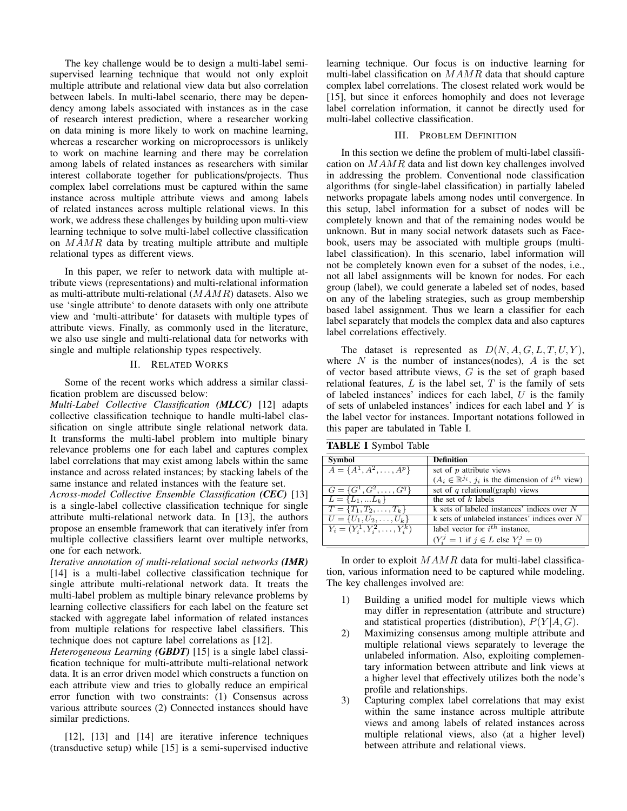The key challenge would be to design a multi-label semisupervised learning technique that would not only exploit multiple attribute and relational view data but also correlation between labels. In multi-label scenario, there may be dependency among labels associated with instances as in the case of research interest prediction, where a researcher working on data mining is more likely to work on machine learning, whereas a researcher working on microprocessors is unlikely to work on machine learning and there may be correlation among labels of related instances as researchers with similar interest collaborate together for publications/projects. Thus complex label correlations must be captured within the same instance across multiple attribute views and among labels of related instances across multiple relational views. In this work, we address these challenges by building upon multi-view learning technique to solve multi-label collective classification on MAMR data by treating multiple attribute and multiple relational types as different views.

In this paper, we refer to network data with multiple attribute views (representations) and multi-relational information as multi-attribute multi-relational  $(MAMR)$  datasets. Also we use 'single attribute' to denote datasets with only one attribute view and 'multi-attribute' for datasets with multiple types of attribute views. Finally, as commonly used in the literature, we also use single and multi-relational data for networks with single and multiple relationship types respectively.

### II. RELATED WORKS

Some of the recent works which address a similar classification problem are discussed below:

*Multi-Label Collective Classification (MLCC)* [12] adapts collective classification technique to handle multi-label classification on single attribute single relational network data. It transforms the multi-label problem into multiple binary relevance problems one for each label and captures complex label correlations that may exist among labels within the same instance and across related instances; by stacking labels of the same instance and related instances with the feature set.

*Across-model Collective Ensemble Classification (CEC)* [13] is a single-label collective classification technique for single attribute multi-relational network data. In [13], the authors propose an ensemble framework that can iteratively infer from multiple collective classifiers learnt over multiple networks, one for each network.

*Iterative annotation of multi-relational social networks (IMR)* [14] is a multi-label collective classification technique for single attribute multi-relational network data. It treats the multi-label problem as multiple binary relevance problems by learning collective classifiers for each label on the feature set stacked with aggregate label information of related instances from multiple relations for respective label classifiers. This technique does not capture label correlations as [12].

*Heterogeneous Learning (GBDT)* [15] is a single label classification technique for multi-attribute multi-relational network data. It is an error driven model which constructs a function on each attribute view and tries to globally reduce an empirical error function with two constraints: (1) Consensus across various attribute sources (2) Connected instances should have similar predictions.

[12], [13] and [14] are iterative inference techniques (transductive setup) while [15] is a semi-supervised inductive learning technique. Our focus is on inductive learning for multi-label classification on  $MAMR$  data that should capture complex label correlations. The closest related work would be [15], but since it enforces homophily and does not leverage label correlation information, it cannot be directly used for multi-label collective classification.

# III. PROBLEM DEFINITION

In this section we define the problem of multi-label classification on MAMR data and list down key challenges involved in addressing the problem. Conventional node classification algorithms (for single-label classification) in partially labeled networks propagate labels among nodes until convergence. In this setup, label information for a subset of nodes will be completely known and that of the remaining nodes would be unknown. But in many social network datasets such as Facebook, users may be associated with multiple groups (multilabel classification). In this scenario, label information will not be completely known even for a subset of the nodes, i.e., not all label assignments will be known for nodes. For each group (label), we could generate a labeled set of nodes, based on any of the labeling strategies, such as group membership based label assignment. Thus we learn a classifier for each label separately that models the complex data and also captures label correlations effectively.

The dataset is represented as  $D(N, A, G, L, T, U, Y)$ , where  $N$  is the number of instances (nodes),  $A$  is the set of vector based attribute views,  $G$  is the set of graph based relational features,  $L$  is the label set,  $T$  is the family of sets of labeled instances' indices for each label,  $U$  is the family of sets of unlabeled instances' indices for each label and Y is the label vector for instances. Important notations followed in this paper are tabulated in Table I.

| <b>TABLE I</b> Symbol Table |  |  |
|-----------------------------|--|--|
|-----------------------------|--|--|

| Symbol                                | <b>Definition</b>                                                   |
|---------------------------------------|---------------------------------------------------------------------|
| $A = \{A^1, A^2, \ldots, A^p\}$       | set of $p$ attribute views                                          |
|                                       | $(A_i \in \mathbb{R}^{j_i}, j_i$ is the dimension of $i^{th}$ view) |
| $G = \{G^1, G^2, \ldots, G^q\}$       | set of $q$ relational(graph) views                                  |
| $L = \{L_1,  L_k\}$                   | the set of $k$ labels                                               |
| $T = \{T_1, T_2, \ldots, T_k\}$       | k sets of labeled instances' indices over N                         |
| $U = \{U_1, U_2, \ldots, U_k\}$       | k sets of unlabeled instances' indices over $N$                     |
| $Y_i = (Y_i^1, Y_i^2, \ldots, Y_i^k)$ | label vector for $i^{th}$ instance,                                 |
|                                       | $(Y_i^j = 1 \text{ if } j \in L \text{ else } Y_i^j = 0)$           |

In order to exploit  $MAMR$  data for multi-label classification, various information need to be captured while modeling. The key challenges involved are:

- 1) Building a unified model for multiple views which may differ in representation (attribute and structure) and statistical properties (distribution),  $P(Y|A, G)$ .
- 2) Maximizing consensus among multiple attribute and multiple relational views separately to leverage the unlabeled information. Also, exploiting complementary information between attribute and link views at a higher level that effectively utilizes both the node's profile and relationships.
- 3) Capturing complex label correlations that may exist within the same instance across multiple attribute views and among labels of related instances across multiple relational views, also (at a higher level) between attribute and relational views.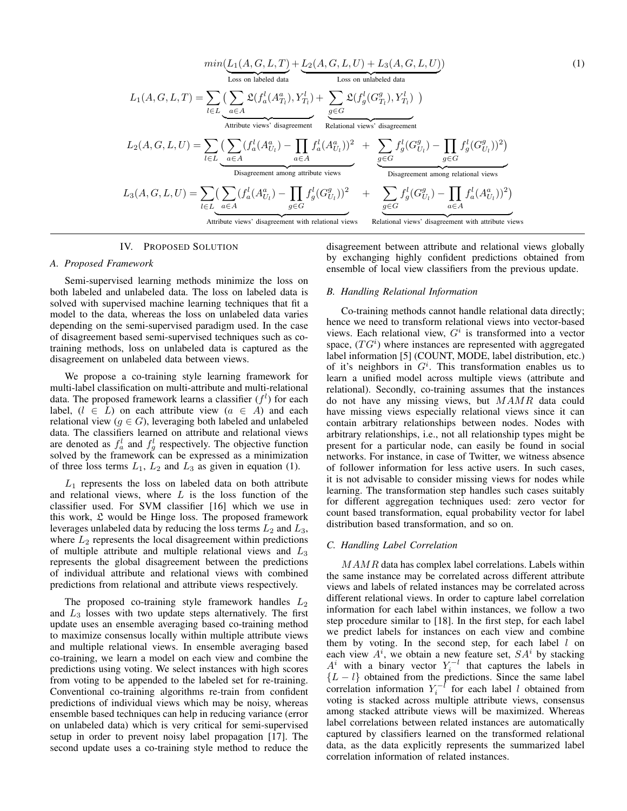$$
min(\underbrace{L_1(A, G, L, T)}_{\text{Loss on labeled data}} + \underbrace{L_2(A, G, L, U)}_{\text{Loss on labeled data}} + \underbrace{L_3(A, G, L, U)}_{\text{Loss on unlabeled data}})
$$
(1)  
\n
$$
L_1(A, G, L, T) = \sum_{l \in L} \underbrace{\left(\sum_{a \in A} \mathfrak{L}(f_a^l(A_{T_l}^a), Y_{T_l}^l) + \sum_{g \in G} \mathfrak{L}(f_g^l(G_{T_l}^g), Y_{T_l}^l)\right)}_{\text{Attentional views' disagreement}}
$$
(1)  
\n
$$
L_2(A, G, L, U) = \sum_{l \in L} \underbrace{\left(\sum_{a \in A} (f_a^l(A_{U_l}^a) - \prod_{a \in A} f_a^l(A_{U_l}^a)\right)^2}_{\text{Disagreement among attribute views}}
$$
  
\n
$$
L_3(A, G, L, U) = \sum_{l \in L} \underbrace{\left(\sum_{a \in A} (f_a^l(A_{U_l}^a) - \prod_{g \in G} f_g^l(G_{U_l}^g)\right)^2}_{\text{Disagreement among attentional views}}
$$
  
\n
$$
L_3(A, G, L, U) = \sum_{l \in L} \underbrace{\left(\sum_{a \in A} (f_a^l(A_{U_l}^a) - \prod_{g \in G} f_g^l(G_{U_l}^g)\right)^2}_{\text{Atribute views}}
$$
  
\n
$$
L_3(A, G, L, U) = \sum_{l \in L} \underbrace{\left(\sum_{a \in A} (f_a^l(A_{U_l}^a) - \prod_{g \in G} f_g^l(G_{U_l}^g)\right)^2}_{\text{Atribute views}}
$$
  
\n
$$
Relational views' disagreement with attribute views'
$$

#### IV. PROPOSED SOLUTION

#### *A. Proposed Framework*

Semi-supervised learning methods minimize the loss on both labeled and unlabeled data. The loss on labeled data is solved with supervised machine learning techniques that fit a model to the data, whereas the loss on unlabeled data varies depending on the semi-supervised paradigm used. In the case of disagreement based semi-supervised techniques such as cotraining methods, loss on unlabeled data is captured as the disagreement on unlabeled data between views.

We propose a co-training style learning framework for multi-label classification on multi-attribute and multi-relational data. The proposed framework learns a classifier  $(f<sup>l</sup>)$  for each label,  $(l \in L)$  on each attribute view  $(a \in A)$  and each relational view ( $g \in G$ ), leveraging both labeled and unlabeled data. The classifiers learned on attribute and relational views are denoted as  $f_a^l$  and  $f_g^l$  respectively. The objective function solved by the framework can be expressed as a minimization of three loss terms  $L_1$ ,  $L_2$  and  $L_3$  as given in equation (1).

 $L_1$  represents the loss on labeled data on both attribute and relational views, where  $L$  is the loss function of the classifier used. For SVM classifier [16] which we use in this work,  $\mathfrak L$  would be Hinge loss. The proposed framework leverages unlabeled data by reducing the loss terms  $L_2$  and  $L_3$ , where  $L_2$  represents the local disagreement within predictions of multiple attribute and multiple relational views and  $L_3$ represents the global disagreement between the predictions of individual attribute and relational views with combined predictions from relational and attribute views respectively.

The proposed co-training style framework handles  $L_2$ and  $L_3$  losses with two update steps alternatively. The first update uses an ensemble averaging based co-training method to maximize consensus locally within multiple attribute views and multiple relational views. In ensemble averaging based co-training, we learn a model on each view and combine the predictions using voting. We select instances with high scores from voting to be appended to the labeled set for re-training. Conventional co-training algorithms re-train from confident predictions of individual views which may be noisy, whereas ensemble based techniques can help in reducing variance (error on unlabeled data) which is very critical for semi-supervised setup in order to prevent noisy label propagation [17]. The second update uses a co-training style method to reduce the

disagreement between attribute and relational views globally by exchanging highly confident predictions obtained from ensemble of local view classifiers from the previous update.

# *B. Handling Relational Information*

Co-training methods cannot handle relational data directly; hence we need to transform relational views into vector-based views. Each relational view,  $G^i$  is transformed into a vector space,  $(TG<sup>i</sup>)$  where instances are represented with aggregated label information [5] (COUNT, MODE, label distribution, etc.) of it's neighbors in  $G^i$ . This transformation enables us to learn a unified model across multiple views (attribute and relational). Secondly, co-training assumes that the instances do not have any missing views, but MAMR data could have missing views especially relational views since it can contain arbitrary relationships between nodes. Nodes with arbitrary relationships, i.e., not all relationship types might be present for a particular node, can easily be found in social networks. For instance, in case of Twitter, we witness absence of follower information for less active users. In such cases, it is not advisable to consider missing views for nodes while learning. The transformation step handles such cases suitably for different aggregation techniques used: zero vector for count based transformation, equal probability vector for label distribution based transformation, and so on.

#### *C. Handling Label Correlation*

MAMR data has complex label correlations. Labels within the same instance may be correlated across different attribute views and labels of related instances may be correlated across different relational views. In order to capture label correlation information for each label within instances, we follow a two step procedure similar to [18]. In the first step, for each label we predict labels for instances on each view and combine them by voting. In the second step, for each label  $l$  on each view  $A^i$ , we obtain a new feature set,  $SA^i$  by stacking  $A^i$  with a binary vector  $Y_i^{-l}$  that captures the labels in  ${L - l}$  obtained from the predictions. Since the same label correlation information  $Y_i^{-l}$  for each label l obtained from voting is stacked across multiple attribute views, consensus among stacked attribute views will be maximized. Whereas label correlations between related instances are automatically captured by classifiers learned on the transformed relational data, as the data explicitly represents the summarized label correlation information of related instances.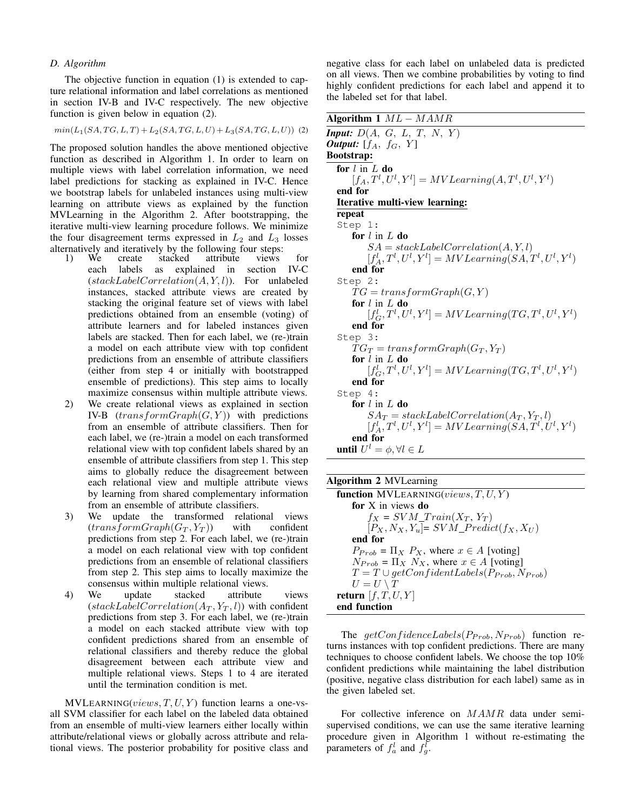#### *D. Algorithm*

The objective function in equation (1) is extended to capture relational information and label correlations as mentioned in section IV-B and IV-C respectively. The new objective function is given below in equation (2).

$$
min(L_1(SA, TG, L, T) + L_2(SA, TG, L, U) + L_3(SA, TG, L, U)) (2)
$$

The proposed solution handles the above mentioned objective function as described in Algorithm 1. In order to learn on multiple views with label correlation information, we need label predictions for stacking as explained in IV-C. Hence we bootstrap labels for unlabeled instances using multi-view learning on attribute views as explained by the function MVLearning in the Algorithm 2. After bootstrapping, the iterative multi-view learning procedure follows. We minimize the four disagreement terms expressed in  $L_2$  and  $L_3$  losses alternatively and iteratively by the following four steps:<br>
1) We create stacked attribute views

- attribute views for each labels as explained in section IV-C  $(\text{stackLabelCorrelation}(A, Y, l)).$  For unlabeled instances, stacked attribute views are created by stacking the original feature set of views with label predictions obtained from an ensemble (voting) of attribute learners and for labeled instances given labels are stacked. Then for each label, we (re-)train a model on each attribute view with top confident predictions from an ensemble of attribute classifiers (either from step 4 or initially with bootstrapped ensemble of predictions). This step aims to locally maximize consensus within multiple attribute views.
- 2) We create relational views as explained in section IV-B  $(transformGraph(G, Y))$  with predictions from an ensemble of attribute classifiers. Then for each label, we (re-)train a model on each transformed relational view with top confident labels shared by an ensemble of attribute classifiers from step 1. This step aims to globally reduce the disagreement between each relational view and multiple attribute views by learning from shared complementary information from an ensemble of attribute classifiers.
- 3) We update the transformed relational views  $(transformGraph(G_T, Y_T))$  with confident predictions from step 2. For each label, we (re-)train a model on each relational view with top confident predictions from an ensemble of relational classifiers from step 2. This step aims to locally maximize the consensus within multiple relational views.
- 4) We update stacked attribute views  $(\text{stackLabelCorrelation}(A_T, Y_T, l))$  with confident predictions from step 3. For each label, we (re-)train a model on each stacked attribute view with top confident predictions shared from an ensemble of relational classifiers and thereby reduce the global disagreement between each attribute view and multiple relational views. Steps 1 to 4 are iterated until the termination condition is met.

 $MVLEARNING(views, T, U, Y)$  function learns a one-vsall SVM classifier for each label on the labeled data obtained from an ensemble of multi-view learners either locally within attribute/relational views or globally across attribute and relational views. The posterior probability for positive class and

negative class for each label on unlabeled data is predicted on all views. Then we combine probabilities by voting to find highly confident predictions for each label and append it to the labeled set for that label.

Algorithm 1  $ML - MAMR$ *Input:*  $D(A, G, L, T, N, Y)$ *Output:*  $[f_A, f_G, Y]$ Bootstrap: for  $l$  in  $L$  do  $[f_A, T^l, U^l, Y^l] = MVLearning(A, T^l, U^l, Y^l)$ end for Iterative multi-view learning: repeat Step 1: for  $l$  in  $L$  do  $SA = stackLabelCorrelation(A, Y, l)$  $[f_A^l, T^l, U^l, Y^l] = MVLearning(SA, T^l, U^l, Y^l)$ end for Step 2:  $TG = transformGraph(G, Y)$ for  $l$  in  $L$  do  $[f_G^l, T^l, U^l, Y^l] = MVLearning(TG, T^l, U^l, Y^l)$ end for Step 3:  $TG_T = transformGraph(G_T, Y_T)$ for  $l$  in  $L$  do  $[f_G^l, T^l, U^l, Y^l] = MVLearning(TG, T^l, U^l, Y^l)$ end for Step 4: for  $l$  in  $L$  do  $SA_T = stackLabelCorrelation(A_T, Y_T, l)$  $[f_A^l, T^l, U^l, Y^l] = MVLearning(SA, T^l, U^l, Y^l)$ end for until  $U^l = \phi, \forall l \in L$ 

| <b>Algorithm 2 MVLearning</b>                       |
|-----------------------------------------------------|
| <b>function</b> MVLEARNING( <i>views, T, U, Y</i> ) |
| for X in views do                                   |
| $f_X = SVM\_Train(X_T, Y_T)$                        |
| $[P_X, N_X, Y_u] = SVM\_Predict(f_X, X_U)$          |
| end for                                             |
| $P_{Prob} = \Pi_X P_X$ , where $x \in A$ [voting]   |
| $N_{Prob} = \Pi_X N_X$ , where $x \in A$ [voting]   |
| $T = T \cup getConfidentLabels(P_{Prob}, N_{Prob})$ |
| $U = U \setminus T$                                 |
| return $[f, T, U, Y]$                               |
| end function                                        |

The getConfidenceLabels( $P_{Prob}$ ,  $N_{Prob}$ ) function returns instances with top confident predictions. There are many techniques to choose confident labels. We choose the top 10% confident predictions while maintaining the label distribution (positive, negative class distribution for each label) same as in the given labeled set.

For collective inference on MAMR data under semisupervised conditions, we can use the same iterative learning procedure given in Algorithm 1 without re-estimating the parameters of  $f_a^l$  and  $f_g^l$ .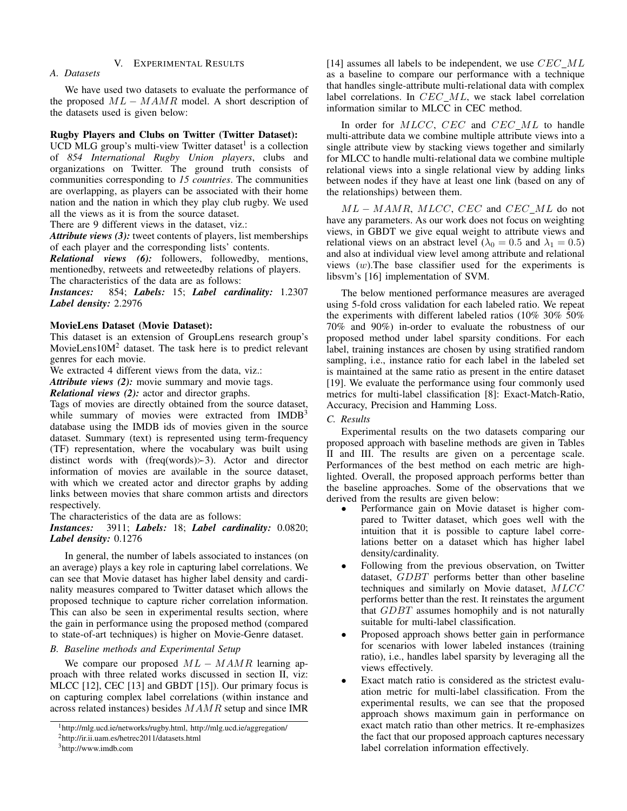#### V. EXPERIMENTAL RESULTS

# *A. Datasets*

We have used two datasets to evaluate the performance of the proposed  $ML - MAMR$  model. A short description of the datasets used is given below:

# Rugby Players and Clubs on Twitter (Twitter Dataset):

UCD MLG group's multi-view Twitter dataset<sup>1</sup> is a collection of *854 International Rugby Union players*, clubs and organizations on Twitter. The ground truth consists of communities corresponding to *15 countries*. The communities are overlapping, as players can be associated with their home nation and the nation in which they play club rugby. We used all the views as it is from the source dataset.

There are 9 different views in the dataset, viz.:

*Attribute views (3):* tweet contents of players, list memberships of each player and the corresponding lists' contents.

*Relational views (6):* followers, followedby, mentions, mentionedby, retweets and retweetedby relations of players. The characteristics of the data are as follows:

*Instances:* 854; *Labels:* 15; *Label cardinality:* 1.2307 *Label density:* 2.2976

# MovieLens Dataset (Movie Dataset):

This dataset is an extension of GroupLens research group's MovieLens10M<sup>2</sup> dataset. The task here is to predict relevant genres for each movie.

We extracted 4 different views from the data, viz.:

*Attribute views (2):* movie summary and movie tags.

*Relational views (2):* actor and director graphs.

Tags of movies are directly obtained from the source dataset, while summary of movies were extracted from  $IMDB<sup>3</sup>$ database using the IMDB ids of movies given in the source dataset. Summary (text) is represented using term-frequency (TF) representation, where the vocabulary was built using distinct words with (freq(words) $\succ$ 3). Actor and director information of movies are available in the source dataset, with which we created actor and director graphs by adding links between movies that share common artists and directors respectively.

The characteristics of the data are as follows:

# *Instances:* 3911; *Labels:* 18; *Label cardinality:* 0.0820; *Label density:* 0.1276

In general, the number of labels associated to instances (on an average) plays a key role in capturing label correlations. We can see that Movie dataset has higher label density and cardinality measures compared to Twitter dataset which allows the proposed technique to capture richer correlation information. This can also be seen in experimental results section, where the gain in performance using the proposed method (compared to state-of-art techniques) is higher on Movie-Genre dataset.

# *B. Baseline methods and Experimental Setup*

We compare our proposed  $ML - MAMR$  learning approach with three related works discussed in section II, viz: MLCC [12], CEC [13] and GBDT [15]). Our primary focus is on capturing complex label correlations (within instance and across related instances) besides MAMR setup and since IMR [14] assumes all labels to be independent, we use  $CEC\_ML$ as a baseline to compare our performance with a technique that handles single-attribute multi-relational data with complex label correlations. In  $CEC\_ML$ , we stack label correlation information similar to MLCC in CEC method.

In order for MLCC, CEC and CEC ML to handle multi-attribute data we combine multiple attribute views into a single attribute view by stacking views together and similarly for MLCC to handle multi-relational data we combine multiple relational views into a single relational view by adding links between nodes if they have at least one link (based on any of the relationships) between them.

 $ML - MAMR$ ,  $MLCC$ ,  $CEC$  and  $CEC_ML$  do not have any parameters. As our work does not focus on weighting views, in GBDT we give equal weight to attribute views and relational views on an abstract level ( $\lambda_0 = 0.5$  and  $\lambda_1 = 0.5$ ) and also at individual view level among attribute and relational views  $(w)$ . The base classifier used for the experiments is libsvm's [16] implementation of SVM.

The below mentioned performance measures are averaged using 5-fold cross validation for each labeled ratio. We repeat the experiments with different labeled ratios (10% 30% 50% 70% and 90%) in-order to evaluate the robustness of our proposed method under label sparsity conditions. For each label, training instances are chosen by using stratified random sampling, i.e., instance ratio for each label in the labeled set is maintained at the same ratio as present in the entire dataset [19]. We evaluate the performance using four commonly used metrics for multi-label classification [8]: Exact-Match-Ratio, Accuracy, Precision and Hamming Loss.

#### *C. Results*

Experimental results on the two datasets comparing our proposed approach with baseline methods are given in Tables II and III. The results are given on a percentage scale. Performances of the best method on each metric are highlighted. Overall, the proposed approach performs better than the baseline approaches. Some of the observations that we derived from the results are given below:

- Performance gain on Movie dataset is higher compared to Twitter dataset, which goes well with the intuition that it is possible to capture label correlations better on a dataset which has higher label density/cardinality.
- Following from the previous observation, on Twitter dataset, GDBT performs better than other baseline techniques and similarly on Movie dataset, MLCC performs better than the rest. It reinstates the argument that GDBT assumes homophily and is not naturally suitable for multi-label classification.
- Proposed approach shows better gain in performance for scenarios with lower labeled instances (training ratio), i.e., handles label sparsity by leveraging all the views effectively.
- Exact match ratio is considered as the strictest evaluation metric for multi-label classification. From the experimental results, we can see that the proposed approach shows maximum gain in performance on exact match ratio than other metrics. It re-emphasizes the fact that our proposed approach captures necessary label correlation information effectively.

<sup>1</sup>http://mlg.ucd.ie/networks/rugby.html, http://mlg.ucd.ie/aggregation/

<sup>2</sup>http://ir.ii.uam.es/hetrec2011/datasets.html

<sup>3</sup>http://www.imdb.com